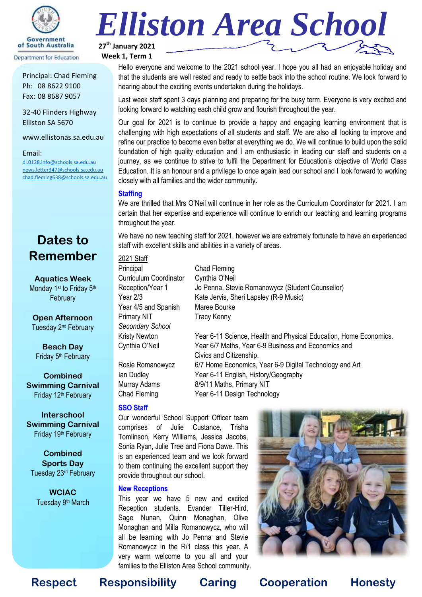

Principal: Chad Fleming Ph: 08 8622 9100 Fax: 08 8687 9057

32-40 Flinders Highway Elliston SA 5670

www.ellistonas.sa.edu.au

#### Email:

[dl.0128.info@schools.sa.edu.au](mailto:dl.0128.info@schools.sa.edu.au) [news.letter347@schools.sa.edu.au](mailto:news.letter347@schools.sa.edu.au) [chad.fleming638@schools.sa.edu.au](mailto:chad.fleming638@schools.sa.edu.au)

# **Dates to Remember**

**Aquatics Week** Monday 1<sup>st</sup> to Friday 5<sup>th</sup> **February** 

**Open Afternoon** Tuesday 2nd February

**Beach Day** Friday 5<sup>th</sup> February

**Combined Swimming Carnival** Friday 12<sup>th</sup> February

**Interschool Swimming Carnival** Friday 19th February

**Combined Sports Day** Tuesday 23rd February

**WCIAC** Tuesday 9<sup>th</sup> March



**Week 1, Term 1**

Hello everyone and welcome to the 2021 school year. I hope you all had an enjoyable holiday and that the students are well rested and ready to settle back into the school routine. We look forward to hearing about the exciting events undertaken during the holidays.

Last week staff spent 3 days planning and preparing for the busy term. Everyone is very excited and looking forward to watching each child grow and flourish throughout the year.

Our goal for 2021 is to continue to provide a happy and engaging learning environment that is challenging with high expectations of all students and staff. We are also all looking to improve and refine our practice to become even better at everything we do. We will continue to build upon the solid foundation of high quality education and I am enthusiastic in leading our staff and students on a journey, as we continue to strive to fulfil the Department for Education's objective of World Class Education. It is an honour and a privilege to once again lead our school and I look forward to working closely with all families and the wider community.

#### **Staffing**

We are thrilled that Mrs O'Neil will continue in her role as the Curriculum Coordinator for 2021. I am certain that her expertise and experience will continue to enrich our teaching and learning programs throughout the year.

We have no new teaching staff for 2021, however we are extremely fortunate to have an experienced staff with excellent skills and abilities in a variety of areas.

2021 Staff Principal Chad Fleming Curriculum Coordinator Cynthia O'Neil Reception/Year 1 Jo Penna, Stevie Romanowycz (Student Counsellor) Year 2/3 Kate Jervis, Sheri Lapsley (R-9 Music) Year 4/5 and Spanish Maree Bourke Primary NIT Tracy Kenny *Secondary School* Kristy Newton Year 6-11 Science, Health and Physical Education, Home Economics. Cynthia O'Neil Year 6/7 Maths, Year 6-9 Business and Economics and

Rosie Romanowycz 6/7 Home Economics, Year 6-9 Digital Technology and Art Ian Dudley Year 6-11 English, History/Geography Murray Adams 8/9/11 Maths, Primary NIT Chad Fleming Year 6-11 Design Technology

#### **SSO Staff**

Our wonderful School Support Officer team comprises of Julie Custance, Trisha Tomlinson, Kerry Williams, Jessica Jacobs, Sonia Ryan, Julie Tree and Fiona Dawe. This is an experienced team and we look forward to them continuing the excellent support they provide throughout our school.

#### **New Receptions**

This year we have 5 new and excited Reception students. Evander Tiller-Hird, Sage Nunan, Quinn Monaghan, Olive Monaghan and Milla Romanowycz, who will all be learning with Jo Penna and Stevie Romanowycz in the R/1 class this year. A very warm welcome to you all and your families to the Elliston Area School community.



**Respect Responsibility Caring Cooperation Honesty**

Civics and Citizenship.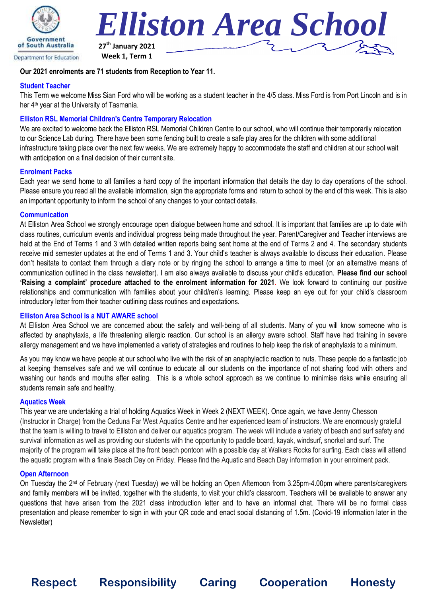



### **Week 1, Term 1**

# **Our 2021 enrolments are 71 students from Reception to Year 11.**

### **Student Teacher**

This Term we welcome Miss Sian Ford who will be working as a student teacher in the 4/5 class. Miss Ford is from Port Lincoln and is in her 4<sup>th</sup> year at the University of Tasmania.

# **Elliston RSL Memorial Children's Centre Temporary Relocation**

We are excited to welcome back the Elliston RSL Memorial Children Centre to our school, who will continue their temporarily relocation to our Science Lab during. There have been some fencing built to create a safe play area for the children with some additional infrastructure taking place over the next few weeks. We are extremely happy to accommodate the staff and children at our school wait with anticipation on a final decision of their current site.

### **Enrolment Packs**

Each year we send home to all families a hard copy of the important information that details the day to day operations of the school. Please ensure you read all the available information, sign the appropriate forms and return to school by the end of this week. This is also an important opportunity to inform the school of any changes to your contact details.

# **Communication**

At Elliston Area School we strongly encourage open dialogue between home and school. It is important that families are up to date with class routines, curriculum events and individual progress being made throughout the year. Parent/Caregiver and Teacher interviews are held at the End of Terms 1 and 3 with detailed written reports being sent home at the end of Terms 2 and 4. The secondary students receive mid semester updates at the end of Terms 1 and 3. Your child's teacher is always available to discuss their education. Please don't hesitate to contact them through a diary note or by ringing the school to arrange a time to meet (or an alternative means of communication outlined in the class newsletter). I am also always available to discuss your child's education. **Please find our school 'Raising a complaint' procedure attached to the enrolment information for 2021**. We look forward to continuing our positive relationships and communication with families about your child/ren's learning. Please keep an eye out for your child's classroom introductory letter from their teacher outlining class routines and expectations.

# **Elliston Area School is a NUT AWARE school**

At Elliston Area School we are concerned about the safety and well-being of all students. Many of you will know someone who is affected by anaphylaxis, a life threatening allergic reaction. Our school is an allergy aware school. Staff have had training in severe allergy management and we have implemented a variety of strategies and routines to help keep the risk of anaphylaxis to a minimum.

As you may know we have people at our school who live with the risk of an anaphylactic reaction to nuts. These people do a fantastic job at keeping themselves safe and we will continue to educate all our students on the importance of not sharing food with others and washing our hands and mouths after eating. This is a whole school approach as we continue to minimise risks while ensuring all students remain safe and healthy.

#### **Aquatics Week**

This year we are undertaking a trial of holding Aquatics Week in Week 2 (NEXT WEEK). Once again, we have Jenny Chesson (Instructor in Charge) from the Ceduna Far West Aquatics Centre and her experienced team of instructors. We are enormously grateful that the team is willing to travel to Elliston and deliver our aquatics program. The week will include a variety of beach and surf safety and survival information as well as providing our students with the opportunity to paddle board, kayak, windsurf, snorkel and surf. The majority of the program will take place at the front beach pontoon with a possible day at Walkers Rocks for surfing. Each class will attend the aquatic program with a finale Beach Day on Friday. Please find the Aquatic and Beach Day information in your enrolment pack.

#### **Open Afternoon**

On Tuesday the 2<sup>nd</sup> of February (next Tuesday) we will be holding an Open Afternoon from 3.25pm-4.00pm where parents/caregivers and family members will be invited, together with the students, to visit your child's classroom. Teachers will be available to answer any questions that have arisen from the 2021 class introduction letter and to have an informal chat. There will be no formal class presentation and please remember to sign in with your QR code and enact social distancing of 1.5m. (Covid-19 information later in the Newsletter)

**Respect Responsibility Caring Cooperation Honesty**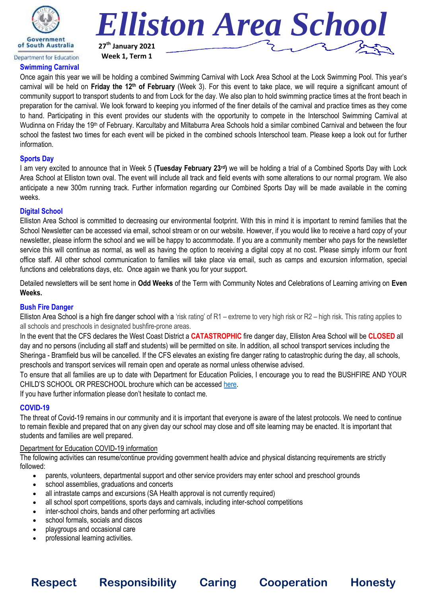



**Swimming Carnival**

Once again this year we will be holding a combined Swimming Carnival with Lock Area School at the Lock Swimming Pool. This year's carnival will be held on **Friday the 12th of February** (Week 3). For this event to take place, we will require a significant amount of community support to transport students to and from Lock for the day. We also plan to hold swimming practice times at the front beach in preparation for the carnival. We look forward to keeping you informed of the finer details of the carnival and practice times as they come to hand. Participating in this event provides our students with the opportunity to compete in the Interschool Swimming Carnival at Wudinna on Friday the 19<sup>th</sup> of February. Karcultaby and Miltaburra Area Schools hold a similar combined Carnival and between the four school the fastest two times for each event will be picked in the combined schools Interschool team. Please keep a look out for further information.

#### **Sports Day**

I am very excited to announce that in Week 5 **(Tuesday February 23rd)** we will be holding a trial of a Combined Sports Day with Lock Area School at Elliston town oval. The event will include all track and field events with some alterations to our normal program. We also anticipate a new 300m running track. Further information regarding our Combined Sports Day will be made available in the coming weeks.

#### **Digital School**

Elliston Area School is committed to decreasing our environmental footprint. With this in mind it is important to remind families that the School Newsletter can be accessed via email, school stream or on our website. However, if you would like to receive a hard copy of your newsletter, please inform the school and we will be happy to accommodate. If you are a community member who pays for the newsletter service this will continue as normal, as well as having the option to receiving a digital copy at no cost. Please simply inform our front office staff. All other school communication to families will take place via email, such as camps and excursion information, special functions and celebrations days, etc. Once again we thank you for your support.

Detailed newsletters will be sent home in **Odd Weeks** of the Term with Community Notes and Celebrations of Learning arriving on **Even Weeks.**

#### **Bush Fire Danger**

Elliston Area School is a high fire danger school with a 'risk rating' of R1 – extreme to very high risk or R2 – high risk. This rating applies to all schools and preschools in designated bushfire-prone areas.

In the event that the CFS declares the West Coast District a **CATASTROPHIC** fire danger day, Elliston Area School will be **CLOSED** all day and no persons (including all staff and students) will be permitted on site. In addition, all school transport services including the Sheringa - Bramfield bus will be cancelled. If the CFS elevates an existing fire danger rating to catastrophic during the day, all schools, preschools and transport services will remain open and operate as normal unless otherwise advised.

To ensure that all families are up to date with Department for Education Policies, I encourage you to read the BUSHFIRE AND YOUR CHILD'S SCHOOL OR PRESCHOOL brochure which can be accessed [here.](https://www.education.sa.gov.au/sites/default/files/bushfire-and-your-childs-school-or-preschool-brochure.pdf)

If you have further information please don't hesitate to contact me.

### **COVID-19**

The threat of Covid-19 remains in our community and it is important that everyone is aware of the latest protocols. We need to continue to remain flexible and prepared that on any given day our school may close and off site learning may be enacted. It is important that students and families are well prepared.

**Respect Responsibility Caring Cooperation Honesty**

#### Department for Education COVID-19 information

The following activities can resume/continue providing government health advice and physical distancing requirements are strictly followed:

- parents, volunteers, departmental support and other service providers may enter school and preschool grounds
- school assemblies, graduations and concerts
- all intrastate camps and excursions (SA Health approval is not currently required)
- all school sport competitions, sports days and carnivals, including inter-school competitions
- inter-school choirs, bands and other performing art activities
- school formals, socials and discos
- playgroups and occasional care
- professional learning activities.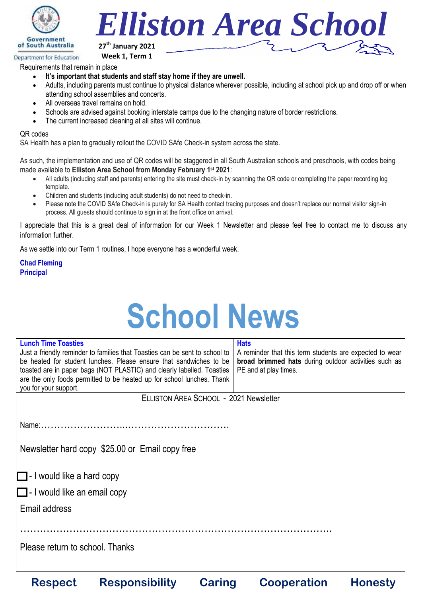

Department for Education



**Week 1, Term 1**

Requirements that remain in place

- **It's important that students and staff stay home if they are unwell.**
- Adults, including parents must continue to physical distance wherever possible, including at school pick up and drop off or when attending school assemblies and concerts.
- All overseas travel remains on hold.
- Schools are advised against booking interstate camps due to the changing nature of border restrictions.
- The current increased cleaning at all sites will continue.

### QR codes

SA Health has a plan to gradually rollout the COVID SAfe Check-in system across the state.

As such, the implementation and use of QR codes will be staggered in all South Australian schools and preschools, with codes being made available to **Elliston Area School from Monday February 1st 2021**:

- All adults (including staff and parents) entering the site must check-in by scanning the QR code or completing the paper recording log template.
- Children and students (including adult students) do not need to check-in.
- Please note the COVID SAfe Check-in is purely for SA Health contact tracing purposes and doesn't replace our normal visitor sign-in process. All guests should continue to sign in at the front office on arrival.

I appreciate that this is a great deal of information for our Week 1 Newsletter and please feel free to contact me to discuss any information further.

As we settle into our Term 1 routines, I hope everyone has a wonderful week.

**Chad Fleming Principal**

# **School News**

| <b>Lunch Time Toasties</b>                      |                                                                             |                                                         | <b>Hats</b>        |                |  |  |  |
|-------------------------------------------------|-----------------------------------------------------------------------------|---------------------------------------------------------|--------------------|----------------|--|--|--|
|                                                 | Just a friendly reminder to families that Toasties can be sent to school to | A reminder that this term students are expected to wear |                    |                |  |  |  |
|                                                 | be heated for student lunches. Please ensure that sandwiches to be          | broad brimmed hats during outdoor activities such as    |                    |                |  |  |  |
|                                                 | toasted are in paper bags (NOT PLASTIC) and clearly labelled. Toasties      | PE and at play times.                                   |                    |                |  |  |  |
|                                                 | are the only foods permitted to be heated up for school lunches. Thank      |                                                         |                    |                |  |  |  |
| you for your support.                           |                                                                             |                                                         |                    |                |  |  |  |
| ELLISTON AREA SCHOOL - 2021 Newsletter          |                                                                             |                                                         |                    |                |  |  |  |
|                                                 |                                                                             |                                                         |                    |                |  |  |  |
|                                                 |                                                                             |                                                         |                    |                |  |  |  |
|                                                 |                                                                             |                                                         |                    |                |  |  |  |
|                                                 |                                                                             |                                                         |                    |                |  |  |  |
| Newsletter hard copy \$25.00 or Email copy free |                                                                             |                                                         |                    |                |  |  |  |
|                                                 |                                                                             |                                                         |                    |                |  |  |  |
| $\Box$ - I would like a hard copy               |                                                                             |                                                         |                    |                |  |  |  |
|                                                 |                                                                             |                                                         |                    |                |  |  |  |
| $\Box$ - I would like an email copy             |                                                                             |                                                         |                    |                |  |  |  |
| Email address                                   |                                                                             |                                                         |                    |                |  |  |  |
|                                                 |                                                                             |                                                         |                    |                |  |  |  |
|                                                 |                                                                             |                                                         |                    |                |  |  |  |
|                                                 |                                                                             |                                                         |                    |                |  |  |  |
| Please return to school. Thanks                 |                                                                             |                                                         |                    |                |  |  |  |
|                                                 |                                                                             |                                                         |                    |                |  |  |  |
|                                                 |                                                                             |                                                         |                    |                |  |  |  |
| <b>Respect</b>                                  | <b>Responsibility</b>                                                       | <b>Caring</b>                                           | <b>Cooperation</b> | <b>Honestv</b> |  |  |  |